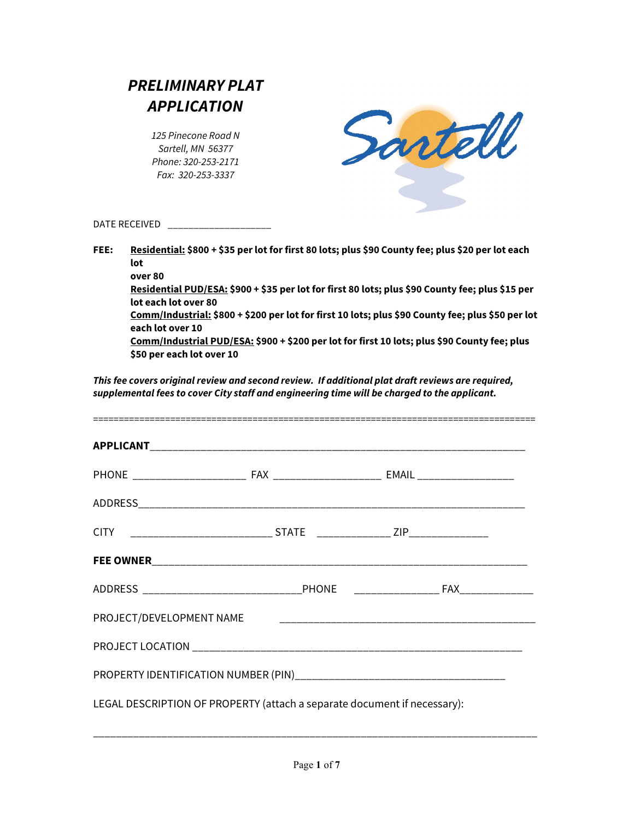| <b>PRELIMINARY PLAT</b> |  |  |  |
|-------------------------|--|--|--|
| <b>APPLICATION</b>      |  |  |  |

*125 Pinecone Road N Sartell, MN 56377 Phone: 320-253-2171 Fax: 320-253-3337*



DATE RECEIVED **and the Recent** 

**FEE: Residential: \$800 + \$35 per lot for first 80 lots; plus \$90 County fee; plus \$20 per lot each lot over 80**

**Residential PUD/ESA: \$900 + \$35 per lot for first 80 lots; plus \$90 County fee; plus \$15 per lot each lot over 80**

**Comm/Industrial: \$800 + \$200 per lot for first 10 lots; plus \$90 County fee; plus \$50 per lot each lot over 10**

**Comm/Industrial PUD/ESA: \$900 + \$200 per lot for first 10 lots; plus \$90 County fee; plus \$50 per each lot over 10**

*This fee covers original review and second review. If additional plat draft reviews are required, supplemental fees to cover City staff and engineering time will be charged to the applicant.*

| CITY ___________________________________STATE ____________________ZIP____________ |  |  |  |
|-----------------------------------------------------------------------------------|--|--|--|
|                                                                                   |  |  |  |
|                                                                                   |  |  |  |
| PROJECT/DEVELOPMENT NAME                                                          |  |  |  |
|                                                                                   |  |  |  |
|                                                                                   |  |  |  |
| LEGAL DESCRIPTION OF PROPERTY (attach a separate document if necessary):          |  |  |  |

\_\_\_\_\_\_\_\_\_\_\_\_\_\_\_\_\_\_\_\_\_\_\_\_\_\_\_\_\_\_\_\_\_\_\_\_\_\_\_\_\_\_\_\_\_\_\_\_\_\_\_\_\_\_\_\_\_\_\_\_\_\_\_\_\_\_\_\_\_\_\_\_\_\_\_\_\_\_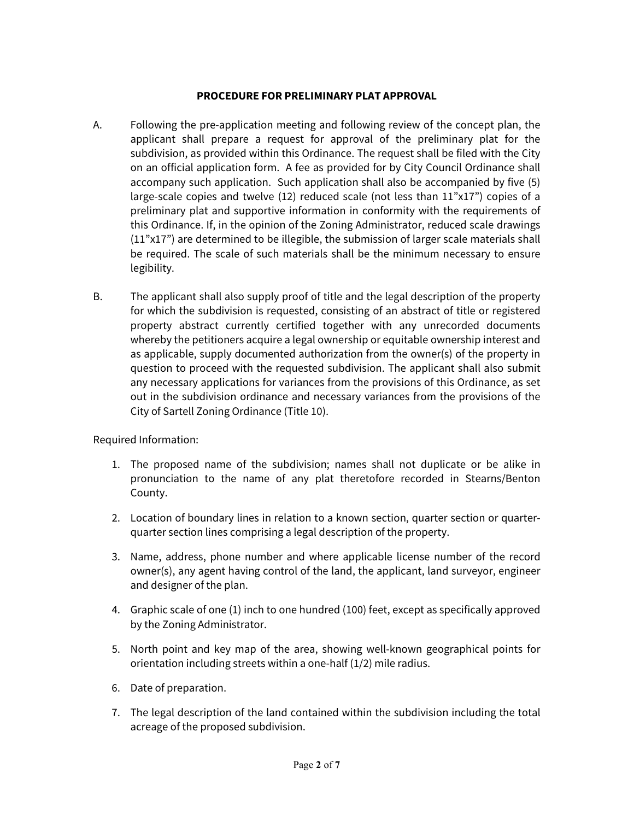## **PROCEDURE FOR PRELIMINARY PLAT APPROVAL**

- A. Following the pre-application meeting and following review of the concept plan, the applicant shall prepare a request for approval of the preliminary plat for the subdivision, as provided within this Ordinance. The request shall be filed with the City on an official application form. A fee as provided for by City Council Ordinance shall accompany such application. Such application shall also be accompanied by five (5) large-scale copies and twelve  $(12)$  reduced scale (not less than  $11"x17"$ ) copies of a preliminary plat and supportive information in conformity with the requirements of this Ordinance. If, in the opinion of the Zoning Administrator, reduced scale drawings (11"x17") are determined to be illegible, the submission of larger scale materials shall be required. The scale of such materials shall be the minimum necessary to ensure legibility.
- B. The applicant shall also supply proof of title and the legal description of the property for which the subdivision is requested, consisting of an abstract of title or registered property abstract currently certified together with any unrecorded documents whereby the petitioners acquire a legal ownership or equitable ownership interest and as applicable, supply documented authorization from the owner(s) of the property in question to proceed with the requested subdivision. The applicant shall also submit any necessary applications for variances from the provisions of this Ordinance, as set out in the subdivision ordinance and necessary variances from the provisions of the City of Sartell Zoning Ordinance (Title 10).

Required Information:

- 1. The proposed name of the subdivision; names shall not duplicate or be alike in pronunciation to the name of any plat theretofore recorded in Stearns/Benton County.
- 2. Location of boundary lines in relation to a known section, quarter section or quarterquarter section lines comprising a legal description of the property.
- 3. Name, address, phone number and where applicable license number of the record owner(s), any agent having control of the land, the applicant, land surveyor, engineer and designer of the plan.
- 4. Graphic scale of one (1) inch to one hundred (100) feet, except as specifically approved by the Zoning Administrator.
- 5. North point and key map of the area, showing well-known geographical points for orientation including streets within a one-half (1/2) mile radius.
- 6. Date of preparation.
- 7. The legal description of the land contained within the subdivision including the total acreage of the proposed subdivision.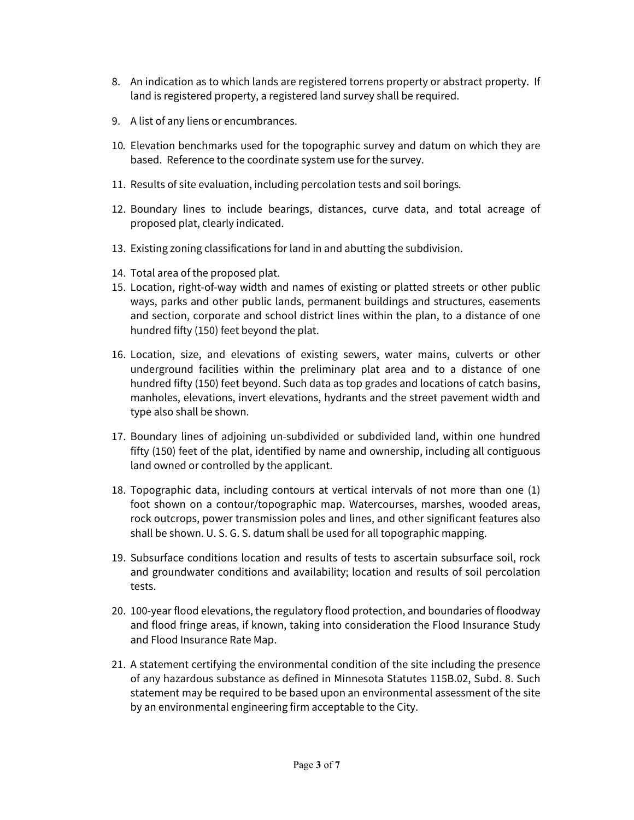- 8. An indication as to which lands are registered torrens property or abstract property. If land is registered property, a registered land survey shall be required.
- 9. A list of any liens or encumbrances.
- 10*.* Elevation benchmarks used for the topographic survey and datum on which they are based. Reference to the coordinate system use for the survey.
- 11. Results of site evaluation, including percolation tests and soil borings*.*
- 12. Boundary lines to include bearings, distances, curve data, and total acreage of proposed plat, clearly indicated.
- 13. Existing zoning classifications for land in and abutting the subdivision.
- 14. Total area of the proposed plat.
- 15. Location, right-of-way width and names of existing or platted streets or other public ways, parks and other public lands, permanent buildings and structures, easements and section, corporate and school district lines within the plan, to a distance of one hundred fifty (150) feet beyond the plat.
- 16. Location, size, and elevations of existing sewers, water mains, culverts or other underground facilities within the preliminary plat area and to a distance of one hundred fifty (150) feet beyond. Such data as top grades and locations of catch basins, manholes, elevations, invert elevations, hydrants and the street pavement width and type also shall be shown.
- 17. Boundary lines of adjoining un-subdivided or subdivided land, within one hundred fifty (150) feet of the plat, identified by name and ownership, including all contiguous land owned or controlled by the applicant.
- 18. Topographic data, including contours at vertical intervals of not more than one (1) foot shown on a contour/topographic map. Watercourses, marshes, wooded areas, rock outcrops, power transmission poles and lines, and other significant features also shall be shown. U. S. G. S. datum shall be used for all topographic mapping.
- 19. Subsurface conditions location and results of tests to ascertain subsurface soil, rock and groundwater conditions and availability; location and results of soil percolation tests.
- 20. 100-year flood elevations, the regulatory flood protection, and boundaries of floodway and flood fringe areas, if known, taking into consideration the Flood Insurance Study and Flood Insurance Rate Map.
- 21. A statement certifying the environmental condition of the site including the presence of any hazardous substance as defined in Minnesota Statutes 115B.02, Subd. 8. Such statement may be required to be based upon an environmental assessment of the site by an environmental engineering firm acceptable to the City.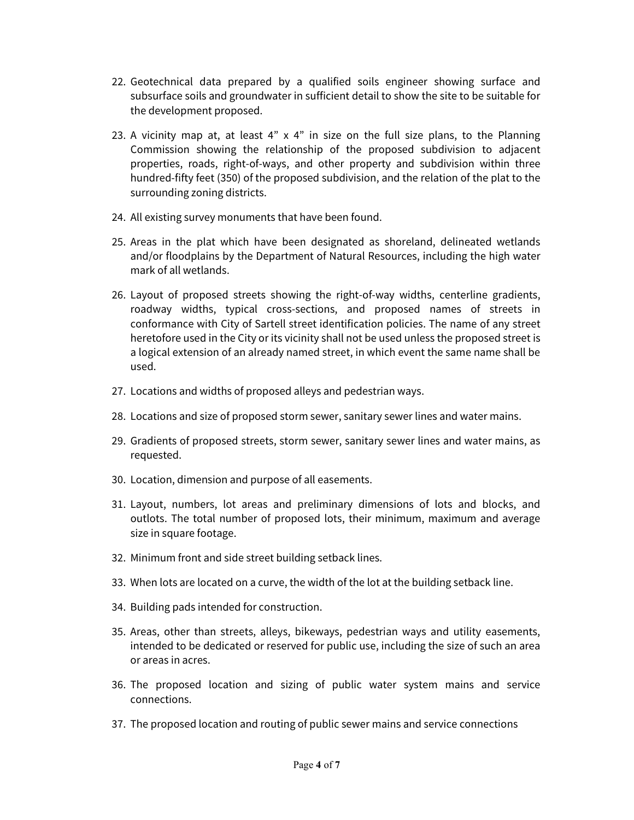- 22. Geotechnical data prepared by a qualified soils engineer showing surface and subsurface soils and groundwater in sufficient detail to show the site to be suitable for the development proposed.
- 23. A vicinity map at, at least  $4"$  x  $4"$  in size on the full size plans, to the Planning Commission showing the relationship of the proposed subdivision to adjacent properties, roads, right-of-ways, and other property and subdivision within three hundred-fifty feet (350) of the proposed subdivision, and the relation of the plat to the surrounding zoning districts.
- 24. All existing survey monuments that have been found.
- 25. Areas in the plat which have been designated as shoreland, delineated wetlands and/or floodplains by the Department of Natural Resources, including the high water mark of all wetlands.
- 26. Layout of proposed streets showing the right-of-way widths, centerline gradients, roadway widths, typical cross-sections, and proposed names of streets in conformance with City of Sartell street identification policies. The name of any street heretofore used in the City or its vicinity shall not be used unless the proposed street is a logical extension of an already named street, in which event the same name shall be used.
- 27. Locations and widths of proposed alleys and pedestrian ways.
- 28. Locations and size of proposed storm sewer, sanitary sewer lines and water mains.
- 29. Gradients of proposed streets, storm sewer, sanitary sewer lines and water mains, as requested.
- 30. Location, dimension and purpose of all easements.
- 31. Layout, numbers, lot areas and preliminary dimensions of lots and blocks, and outlots. The total number of proposed lots, their minimum, maximum and average size in square footage.
- 32. Minimum front and side street building setback lines.
- 33. When lots are located on a curve, the width of the lot at the building setback line.
- 34. Building pads intended for construction.
- 35. Areas, other than streets, alleys, bikeways, pedestrian ways and utility easements, intended to be dedicated or reserved for public use, including the size of such an area or areas in acres.
- 36. The proposed location and sizing of public water system mains and service connections.
- 37. The proposed location and routing of public sewer mains and service connections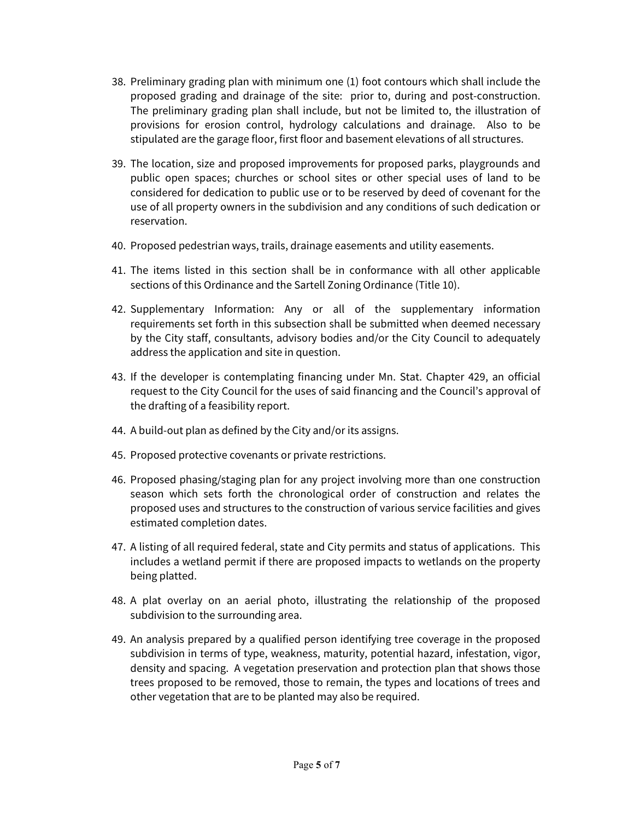- 38. Preliminary grading plan with minimum one (1) foot contours which shall include the proposed grading and drainage of the site: prior to, during and post-construction. The preliminary grading plan shall include, but not be limited to, the illustration of provisions for erosion control, hydrology calculations and drainage. Also to be stipulated are the garage floor, first floor and basement elevations of all structures.
- 39. The location, size and proposed improvements for proposed parks, playgrounds and public open spaces; churches or school sites or other special uses of land to be considered for dedication to public use or to be reserved by deed of covenant for the use of all property owners in the subdivision and any conditions of such dedication or reservation.
- 40. Proposed pedestrian ways, trails, drainage easements and utility easements.
- 41. The items listed in this section shall be in conformance with all other applicable sections of this Ordinance and the Sartell Zoning Ordinance (Title 10).
- 42. Supplementary Information: Any or all of the supplementary information requirements set forth in this subsection shall be submitted when deemed necessary by the City staff, consultants, advisory bodies and/or the City Council to adequately address the application and site in question.
- 43. If the developer is contemplating financing under Mn. Stat. Chapter 429, an official request to the City Council for the uses of said financing and the Council's approval of the drafting of a feasibility report.
- 44. A build-out plan as defined by the City and/or its assigns.
- 45. Proposed protective covenants or private restrictions.
- 46. Proposed phasing/staging plan for any project involving more than one construction season which sets forth the chronological order of construction and relates the proposed uses and structures to the construction of various service facilities and gives estimated completion dates.
- 47. A listing of all required federal, state and City permits and status of applications. This includes a wetland permit if there are proposed impacts to wetlands on the property being platted.
- 48. A plat overlay on an aerial photo, illustrating the relationship of the proposed subdivision to the surrounding area.
- 49. An analysis prepared by a qualified person identifying tree coverage in the proposed subdivision in terms of type, weakness, maturity, potential hazard, infestation, vigor, density and spacing. A vegetation preservation and protection plan that shows those trees proposed to be removed, those to remain, the types and locations of trees and other vegetation that are to be planted may also be required.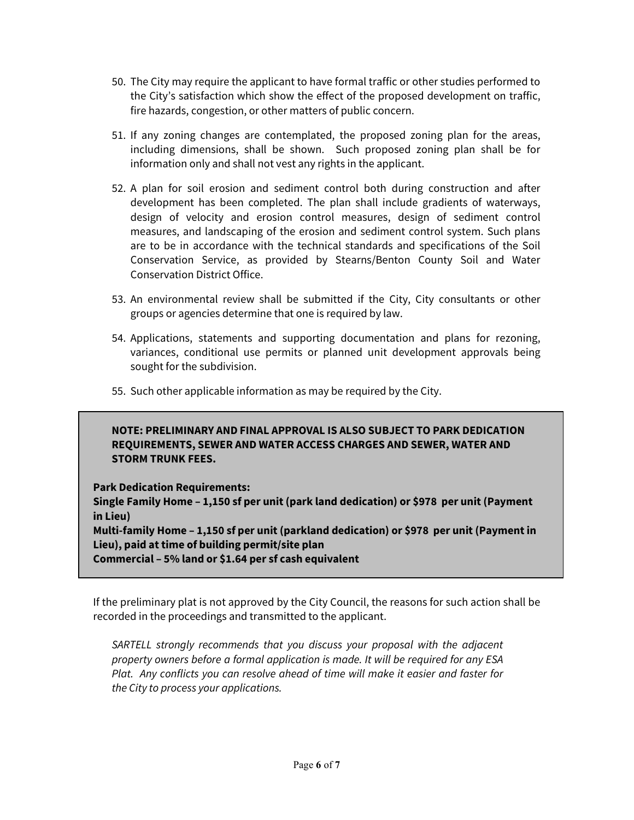- 50. The City may require the applicant to have formal traffic or other studies performed to the City's satisfaction which show the effect of the proposed development on traffic, fire hazards, congestion, or other matters of public concern.
- 51. If any zoning changes are contemplated, the proposed zoning plan for the areas, including dimensions, shall be shown. Such proposed zoning plan shall be for information only and shall not vest any rights in the applicant.
- 52. A plan for soil erosion and sediment control both during construction and after development has been completed. The plan shall include gradients of waterways, design of velocity and erosion control measures, design of sediment control measures, and landscaping of the erosion and sediment control system. Such plans are to be in accordance with the technical standards and specifications of the Soil Conservation Service, as provided by Stearns/Benton County Soil and Water Conservation District Office.
- 53. An environmental review shall be submitted if the City, City consultants or other groups or agencies determine that one is required by law.
- 54. Applications, statements and supporting documentation and plans for rezoning, variances, conditional use permits or planned unit development approvals being sought for the subdivision.
- 55. Such other applicable information as may be required by the City.

## **NOTE: PRELIMINARY AND FINAL APPROVAL IS ALSO SUBJECT TO PARK DEDICATION REQUIREMENTS, SEWER AND WATER ACCESS CHARGES AND SEWER, WATER AND STORM TRUNK FEES.**

**Park Dedication Requirements:**

**Single Family Home – 1,150 sf per unit (park land dedication) or \$978 per unit (Payment in Lieu)**

**Multi-family Home – 1,150 sf per unit (parkland dedication) or \$978 per unit (Payment in Lieu), paid at time of building permit/site plan**

**Commercial – 5% land or \$1.64 per sf cash equivalent** 

If the preliminary plat is not approved by the City Council, the reasons for such action shall be recorded in the proceedings and transmitted to the applicant.

*SARTELL strongly recommends that you discuss your proposal with the adjacent property owners before a formal application is made. It will be required for any ESA Plat. Any conflicts you can resolve ahead of time will make it easier and faster for the City to process your applications.*